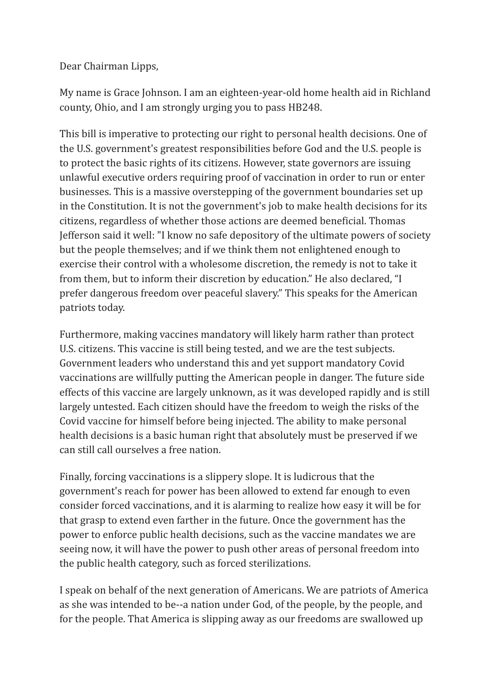Dear Chairman Lipps,

My name is Grace Johnson. I am an eighteen-year-old home health aid in Richland county, Ohio, and I am strongly urging you to pass HB248.

This bill is imperative to protecting our right to personal health decisions. One of the U.S. government's greatest responsibilities before God and the U.S. people is to protect the basic rights of its citizens. However, state governors are issuing unlawful executive orders requiring proof of vaccination in order to run or enter businesses. This is a massive overstepping of the government boundaries set up in the Constitution. It is not the government's job to make health decisions for its citizens, regardless of whether those actions are deemed beneficial. Thomas Jefferson said it well: "I know no safe depository of the ultimate powers of society but the people themselves; and if we think them not enlightened enough to exercise their control with a wholesome discretion, the remedy is not to take it from them, but to inform their discretion by education." He also declared, "I prefer dangerous freedom over peaceful slavery." This speaks for the American patriots today.

Furthermore, making vaccines mandatory will likely harm rather than protect U.S. citizens. This vaccine is still being tested, and we are the test subjects. Government leaders who understand this and yet support mandatory Covid vaccinations are willfully putting the American people in danger. The future side effects of this vaccine are largely unknown, as it was developed rapidly and is still largely untested. Each citizen should have the freedom to weigh the risks of the Covid vaccine for himself before being injected. The ability to make personal health decisions is a basic human right that absolutely must be preserved if we can still call ourselves a free nation.

Finally, forcing vaccinations is a slippery slope. It is ludicrous that the government's reach for power has been allowed to extend far enough to even consider forced vaccinations, and it is alarming to realize how easy it will be for that grasp to extend even farther in the future. Once the government has the power to enforce public health decisions, such as the vaccine mandates we are seeing now, it will have the power to push other areas of personal freedom into the public health category, such as forced sterilizations.

I speak on behalf of the next generation of Americans. We are patriots of America as she was intended to be--a nation under God, of the people, by the people, and for the people. That America is slipping away as our freedoms are swallowed up